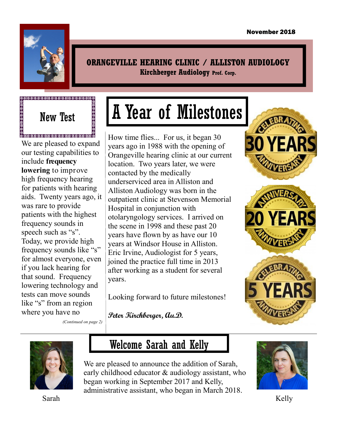

**ORANGEVILLE HEARING CLINIC / ALLISTON AUDIOLOGY Kirchberger Audiology Prof. Corp.**

# New Test

@<br>@@@@@@@@@@@@@@@@@@@@@@@@@@@@ We are pleased to expand our testing capabilities to include **frequency lowering** to improve high frequency hearing for patients with hearing aids. Twenty years ago, it was rare to provide patients with the highest frequency sounds in speech such as "s". Today, we provide high frequency sounds like "s" for almost everyone, even if you lack hearing for that sound. Frequency lowering technology and tests can move sounds like "s" from an region where you have no

*(Continued on page 2)*

# A Year of Milestones

How time flies... For us, it began 30 years ago in 1988 with the opening of Orangeville hearing clinic at our current location. Two years later, we were contacted by the medically underserviced area in Alliston and Alliston Audiology was born in the outpatient clinic at Stevenson Memorial Hospital in conjunction with otolaryngology services. I arrived on the scene in 1998 and these past 20 years have flown by as have our 10 years at Windsor House in Alliston. Eric Irvine, Audiologist for 5 years, joined the practice full time in 2013 after working as a student for several years.

Looking forward to future milestones!

**Peter Kirchberger, Au.D.**









Sarah

# Welcome Sarah and Kelly

We are pleased to announce the addition of Sarah, early childhood educator & audiology assistant, who began working in September 2017 and Kelly, administrative assistant, who began in March 2018.



Kelly